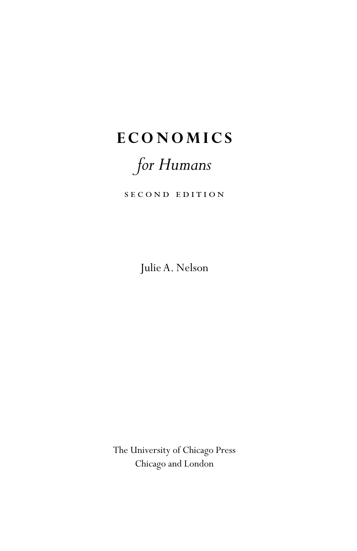## **Economics**

# *for Humans*

second edition

Julie A. Nelson

The University of Chicago Press Chicago and London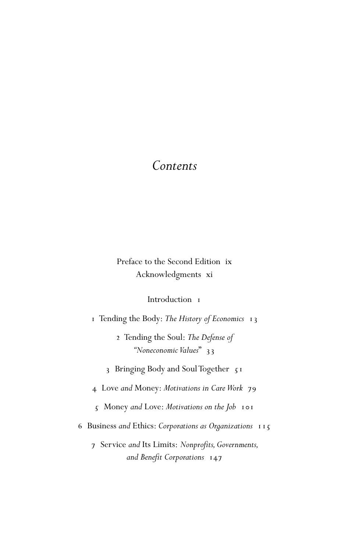### *Contents*

Preface to the Second Edition ix Acknowledgments xi

Introduction 1

1 Tending the Body: *The History of Economics* 13

2 Tending the Soul: *The Defense of "Noneconomic Values*" 33

3 Bringing Body and Soul Together 51

4 Love *and* Money: *Motivations in Care Work* 79

5 Money *and* Love: *Motivations on the Job* 101

6 Business *and* Ethics: *Corporations as Organizations* 115

7 Service *and* Its Limits: *Nonprofits, Governments, and Benefit Corporations* 147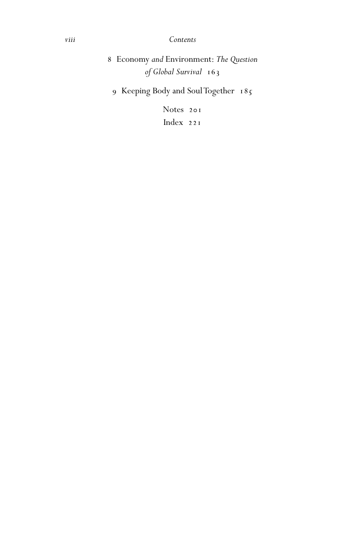#### *viii Contents*

8 Economy *and* Environment: *The Question of Global Survival* 163

9 Keeping Body and Soul Together 185

Notes 201 Index 221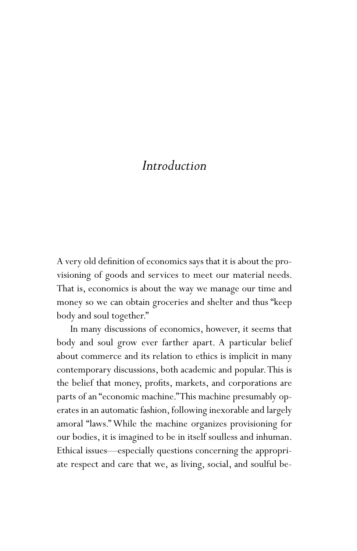A very old definition of economics says that it is about the provisioning of goods and services to meet our material needs. That is, economics is about the way we manage our time and money so we can obtain groceries and shelter and thus "keep body and soul together."

In many discussions of economics, however, it seems that body and soul grow ever farther apart. A particular belief about commerce and its relation to ethics is implicit in many contemporary discussions, both academic and popular. This is the belief that money, profits, markets, and corporations are parts of an "economic machine." This machine presumably operates in an automatic fashion, following inexorable and largely amoral "laws." While the machine organizes provisioning for our bodies, it is imagined to be in itself soulless and inhuman. Ethical issues— especially questions concerning the appropriate respect and care that we, as living, social, and soulful be-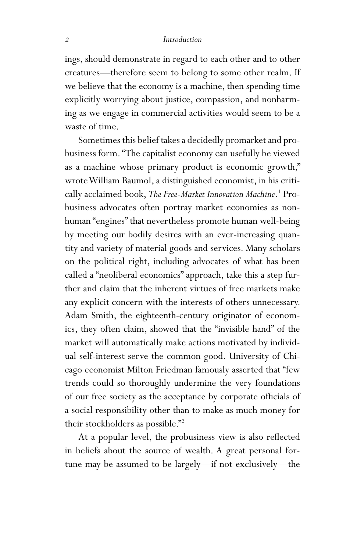ings, should demonstrate in regard to each other and to other creatures— therefore seem to belong to some other realm. If we believe that the economy is a machine, then spending time explicitly worrying about justice, compassion, and nonharming as we engage in commercial activities would seem to be a waste of time.

Sometimes this belief takes a decidedly promarket and probusiness form. "The capitalist economy can usefully be viewed as a machine whose primary product is economic growth," wrote William Baumol, a distinguished economist, in his critically acclaimed book, The Free-Market Innovation Machine.<sup>1</sup> Probusiness advocates often portray market economies as nonhuman "engines" that nevertheless promote human well-being by meeting our bodily desires with an ever-increasing quantity and variety of material goods and services. Many scholars on the political right, including advocates of what has been called a "neoliberal economics" approach, take this a step further and claim that the inherent virtues of free markets make any explicit concern with the interests of others unnecessary. Adam Smith, the eighteenth- century originator of economics, they often claim, showed that the "invisible hand" of the market will automatically make actions motivated by individual self-interest serve the common good. University of Chicago economist Milton Friedman famously asserted that "few trends could so thoroughly undermine the very foundations of our free society as the acceptance by corporate officials of a social responsibility other than to make as much money for their stockholders as possible."<sup>2</sup>

At a popular level, the probusiness view is also reflected in beliefs about the source of wealth. A great personal fortune may be assumed to be largely— if not exclusively— the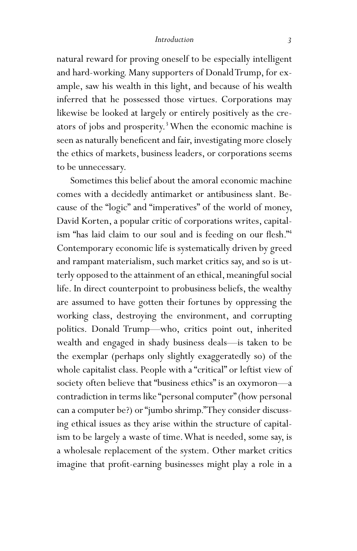natural reward for proving oneself to be especially intelligent and hard- working. Many supporters of Donald Trump, for example, saw his wealth in this light, and because of his wealth inferred that he possessed those virtues. Corporations may likewise be looked at largely or entirely positively as the creators of jobs and prosperity.<sup>3</sup> When the economic machine is seen as naturally beneficent and fair, investigating more closely the ethics of markets, business leaders, or corporations seems to be unnecessary.

Sometimes this belief about the amoral economic machine comes with a decidedly antimarket or antibusiness slant. Because of the "logic" and "imperatives" of the world of money, David Korten, a popular critic of corporations writes, capitalism "has laid claim to our soul and is feeding on our flesh."4 Contemporary economic life is systematically driven by greed and rampant materialism, such market critics say, and so is utterly opposed to the attainment of an ethical, meaningful social life. In direct counterpoint to probusiness beliefs, the wealthy are assumed to have gotten their fortunes by oppressing the working class, destroying the environment, and corrupting politics. Donald Trump— who, critics point out, inherited wealth and engaged in shady business deals— is taken to be the exemplar (perhaps only slightly exaggeratedly so) of the whole capitalist class. People with a "critical" or leftist view of society often believe that "business ethics" is an oxymoron-a contradiction in terms like "personal computer" (how personal can a computer be?) or "jumbo shrimp." They consider discussing ethical issues as they arise within the structure of capitalism to be largely a waste of time. What is needed, some say, is a wholesale replacement of the system. Other market critics imagine that profit-earning businesses might play a role in a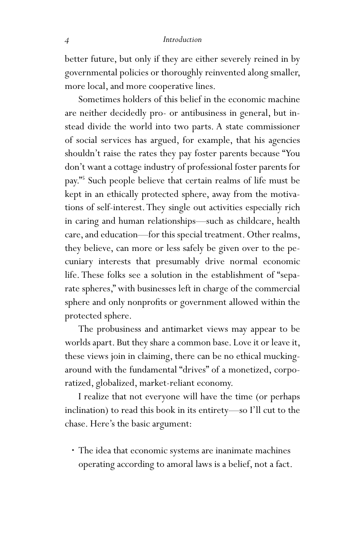better future, but only if they are either severely reined in by governmental policies or thoroughly reinvented along smaller, more local, and more cooperative lines.

Sometimes holders of this belief in the economic machine are neither decidedly pro- or antibusiness in general, but instead divide the world into two parts. A state commissioner of social services has argued, for example, that his agencies shouldn't raise the rates they pay foster parents because "You don't want a cottage industry of professional foster parents for pay."5 Such people believe that certain realms of life must be kept in an ethically protected sphere, away from the motivations of self- interest. They single out activities especially rich in caring and human relationships— such as childcare, health care, and education— for this special treatment. Other realms, they believe, can more or less safely be given over to the pecuniary interests that presumably drive normal economic life. These folks see a solution in the establishment of "separate spheres," with businesses left in charge of the commercial sphere and only nonprofits or government allowed within the protected sphere.

The probusiness and antimarket views may appear to be worlds apart. But they share a common base. Love it or leave it, these views join in claiming, there can be no ethical muckingaround with the fundamental "drives" of a monetized, corporatized, globalized, market- reliant economy.

I realize that not everyone will have the time (or perhaps inclination) to read this book in its entirety— so I'll cut to the chase. Here's the basic argument:

**·** The idea that economic systems are inanimate machines operating according to amoral laws is a belief, not a fact.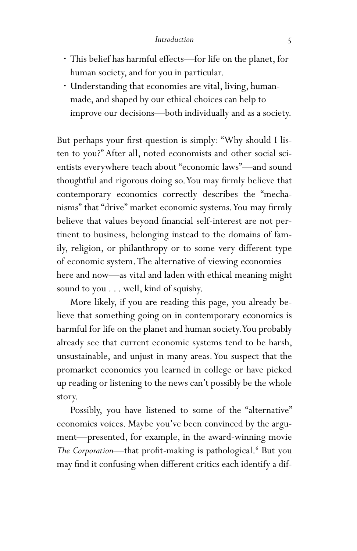- **·** This belief has harmful effects— for life on the planet, for human society, and for you in particular.
- **·** Understanding that economies are vital, living, humanmade, and shaped by our ethical choices can help to improve our decisions— both individually and as a society.

But perhaps your first question is simply: "Why should I listen to you?" After all, noted economists and other social scientists everywhere teach about "economic laws"— and sound thoughtful and rigorous doing so. You may firmly believe that contemporary economics correctly describes the "mechanisms" that "drive" market economic systems. You may firmly believe that values beyond financial self-interest are not pertinent to business, belonging instead to the domains of family, religion, or philanthropy or to some very different type of economic system. The alternative of viewing economies here and now—as vital and laden with ethical meaning might sound to you . . . well, kind of squishy.

More likely, if you are reading this page, you already believe that something going on in contemporary economics is harmful for life on the planet and human society. You probably already see that current economic systems tend to be harsh, unsustainable, and unjust in many areas. You suspect that the promarket economics you learned in college or have picked up reading or listening to the news can't possibly be the whole story.

Possibly, you have listened to some of the "alternative" economics voices. Maybe you've been convinced by the argument— presented, for example, in the award- winning movie The Corporation-that profit-making is pathological.<sup>6</sup> But you may find it confusing when different critics each identify a dif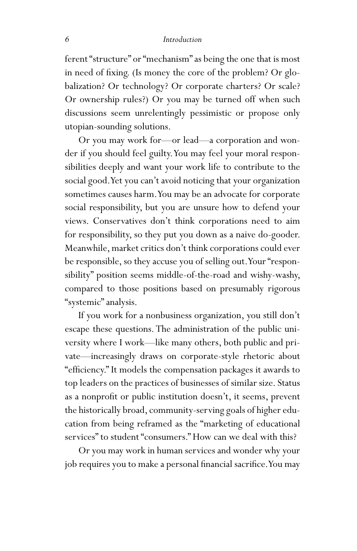ferent "structure" or "mechanism" as being the one that is most in need of fixing. (Is money the core of the problem? Or globalization? Or technology? Or corporate charters? Or scale? Or ownership rules?) Or you may be turned off when such discussions seem unrelentingly pessimistic or propose only utopian- sounding solutions.

Or you may work for-or lead-a corporation and wonder if you should feel guilty. You may feel your moral responsibilities deeply and want your work life to contribute to the social good. Yet you can't avoid noticing that your organization sometimes causes harm. You may be an advocate for corporate social responsibility, but you are unsure how to defend your views. Conservatives don't think corporations need to aim for responsibility, so they put you down as a naive do- gooder. Meanwhile, market critics don't think corporations could ever be responsible, so they accuse you of selling out. Your "responsibility" position seems middle-of-the-road and wishy-washy, compared to those positions based on presumably rigorous "systemic" analysis.

If you work for a nonbusiness organization, you still don't escape these questions. The administration of the public university where I work—like many others, both public and private— increasingly draws on corporate- style rhetoric about "efficiency." It models the compensation packages it awards to top leaders on the practices of businesses of similar size. Status as a nonprofit or public institution doesn't, it seems, prevent the historically broad, community- serving goals of higher education from being reframed as the "marketing of educational services" to student "consumers." How can we deal with this?

Or you may work in human services and wonder why your job requires you to make a personal financial sacrifice. You may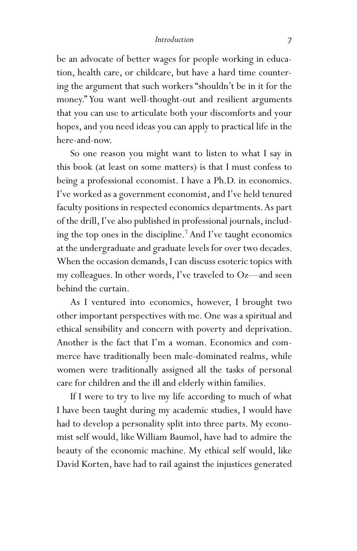be an advocate of better wages for people working in education, health care, or childcare, but have a hard time countering the argument that such workers "shouldn't be in it for the money." You want well-thought-out and resilient arguments that you can use to articulate both your discomforts and your hopes, and you need ideas you can apply to practical life in the here-and-now.

So one reason you might want to listen to what I say in this book (at least on some matters) is that I must confess to being a professional economist. I have a Ph.D. in economics. I've worked as a government economist, and I've held tenured faculty positions in respected economics departments. As part of the drill, I've also published in professional journals, including the top ones in the discipline.<sup>7</sup> And I've taught economics at the undergraduate and graduate levels for over two decades. When the occasion demands, I can discuss esoteric topics with my colleagues. In other words, I've traveled to Oz— and seen behind the curtain.

As I ventured into economics, however, I brought two other important perspectives with me. One was a spiritual and ethical sensibility and concern with poverty and deprivation. Another is the fact that I'm a woman. Economics and commerce have traditionally been male- dominated realms, while women were traditionally assigned all the tasks of personal care for children and the ill and elderly within families.

If I were to try to live my life according to much of what I have been taught during my academic studies, I would have had to develop a personality split into three parts. My economist self would, like William Baumol, have had to admire the beauty of the economic machine. My ethical self would, like David Korten, have had to rail against the injustices generated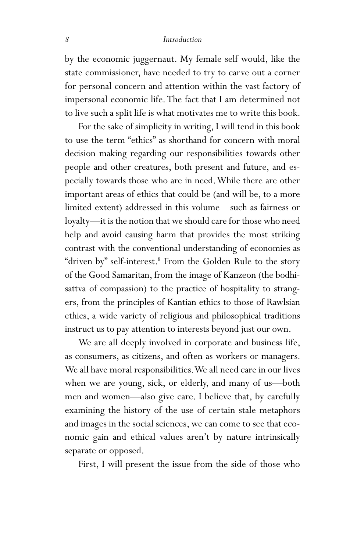by the economic juggernaut. My female self would, like the state commissioner, have needed to try to carve out a corner for personal concern and attention within the vast factory of impersonal economic life. The fact that I am determined not to live such a split life is what motivates me to write this book.

For the sake of simplicity in writing, I will tend in this book to use the term "ethics" as shorthand for concern with moral decision making regarding our responsibilities towards other people and other creatures, both present and future, and especially towards those who are in need. While there are other important areas of ethics that could be (and will be, to a more limited extent) addressed in this volume— such as fairness or loyalty— it is the notion that we should care for those who need help and avoid causing harm that provides the most striking contrast with the conventional understanding of economies as "driven by" self-interest.<sup>8</sup> From the Golden Rule to the story of the Good Samaritan, from the image of Kanzeon (the bodhisattva of compassion) to the practice of hospitality to strangers, from the principles of Kantian ethics to those of Rawlsian ethics, a wide variety of religious and philosophical traditions instruct us to pay attention to interests beyond just our own.

We are all deeply involved in corporate and business life, as consumers, as citizens, and often as workers or managers. We all have moral responsibilities. We all need care in our lives when we are young, sick, or elderly, and many of us— both men and women—also give care. I believe that, by carefully examining the history of the use of certain stale metaphors and images in the social sciences, we can come to see that economic gain and ethical values aren't by nature intrinsically separate or opposed.

First, I will present the issue from the side of those who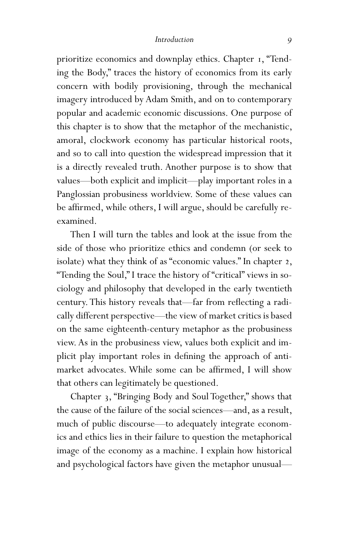#### *<u>Introduction</u>* 9

prioritize economics and downplay ethics. Chapter 1, "Tending the Body," traces the history of economics from its early concern with bodily provisioning, through the mechanical imagery introduced by Adam Smith, and on to contemporary popular and academic economic discussions. One purpose of this chapter is to show that the metaphor of the mechanistic, amoral, clockwork economy has particular historical roots, and so to call into question the widespread impression that it is a directly revealed truth. Another purpose is to show that values— both explicit and implicit— play important roles in a Panglossian probusiness worldview. Some of these values can be affirmed, while others, I will argue, should be carefully reexamined.

Then I will turn the tables and look at the issue from the side of those who prioritize ethics and condemn (or seek to isolate) what they think of as "economic values." In chapter 2, "Tending the Soul," I trace the history of "critical" views in sociology and philosophy that developed in the early twentieth century. This history reveals that— far from reflecting a radically different perspective— the view of market critics is based on the same eighteenth- century metaphor as the probusiness view. As in the probusiness view, values both explicit and implicit play important roles in defining the approach of antimarket advocates. While some can be affirmed, I will show that others can legitimately be questioned.

Chapter 3, "Bringing Body and Soul Together," shows that the cause of the failure of the social sciences— and, as a result, much of public discourse— to adequately integrate economics and ethics lies in their failure to question the metaphorical image of the economy as a machine. I explain how historical and psychological factors have given the metaphor unusual—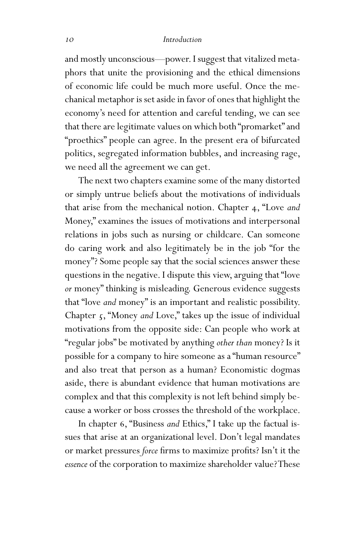and mostly unconscious— power. I suggest that vitalized metaphors that unite the provisioning and the ethical dimensions of economic life could be much more useful. Once the mechanical metaphor is set aside in favor of ones that highlight the economy's need for attention and careful tending, we can see that there are legitimate values on which both "promarket" and "proethics" people can agree. In the present era of bifurcated politics, segregated information bubbles, and increasing rage, we need all the agreement we can get.

The next two chapters examine some of the many distorted or simply untrue beliefs about the motivations of individuals that arise from the mechanical notion. Chapter 4, "Love *and* Money," examines the issues of motivations and interpersonal relations in jobs such as nursing or childcare. Can someone do caring work and also legitimately be in the job "for the money"? Some people say that the social sciences answer these questions in the negative. I dispute this view, arguing that "love *or* money" thinking is misleading. Generous evidence suggests that "love *and* money" is an important and realistic possibility. Chapter 5, "Money *and* Love," takes up the issue of individual motivations from the opposite side: Can people who work at "regular jobs" be motivated by anything *other than* money? Is it possible for a company to hire someone as a "human resource" and also treat that person as a human? Economistic dogmas aside, there is abundant evidence that human motivations are complex and that this complexity is not left behind simply because a worker or boss crosses the threshold of the workplace.

In chapter 6, "Business *and* Ethics," I take up the factual issues that arise at an organizational level. Don't legal mandates or market pressures *force* firms to maximize profits? Isn't it the *essence* of the corporation to maximize shareholder value? These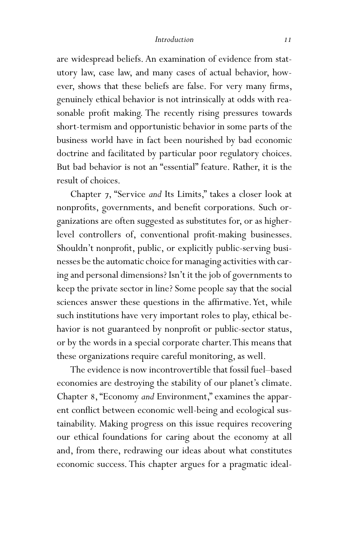are widespread beliefs. An examination of evidence from statutory law, case law, and many cases of actual behavior, however, shows that these beliefs are false. For very many firms, genuinely ethical behavior is not intrinsically at odds with reasonable profit making. The recently rising pressures towards short- termism and opportunistic behavior in some parts of the business world have in fact been nourished by bad economic doctrine and facilitated by particular poor regulatory choices. But bad behavior is not an "essential" feature. Rather, it is the result of choices.

Chapter 7, "Service *and* Its Limits," takes a closer look at nonprofits, governments, and benefit corporations. Such organizations are often suggested as substitutes for, or as higherlevel controllers of, conventional profit-making businesses. Shouldn't nonprofit, public, or explicitly public-serving businesses be the automatic choice for managing activities with caring and personal dimensions? Isn't it the job of governments to keep the private sector in line? Some people say that the social sciences answer these questions in the affirmative. Yet, while such institutions have very important roles to play, ethical behavior is not guaranteed by nonprofit or public-sector status, or by the words in a special corporate charter. This means that these organizations require careful monitoring, as well.

The evidence is now incontrovertible that fossil fuel-based economies are destroying the stability of our planet's climate. Chapter 8, "Economy *and* Environment," examines the apparent conflict between economic well- being and ecological sustainability. Making progress on this issue requires recovering our ethical foundations for caring about the economy at all and, from there, redrawing our ideas about what constitutes economic success. This chapter argues for a pragmatic ideal